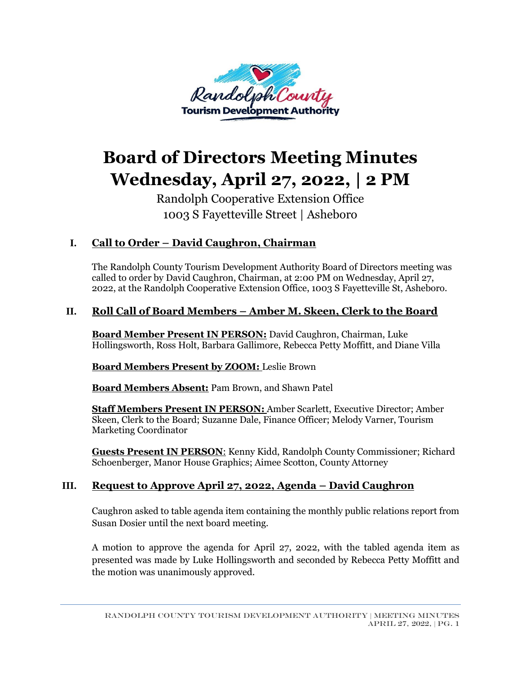

# **Board of Directors Meeting Minutes Wednesday, April 27, 2022, | 2 PM**

Randolph Cooperative Extension Office 1003 S Fayetteville Street | Asheboro

# **I. Call to Order – David Caughron, Chairman**

The Randolph County Tourism Development Authority Board of Directors meeting was called to order by David Caughron, Chairman, at 2:00 PM on Wednesday, April 27, 2022, at the Randolph Cooperative Extension Office, 1003 S Fayetteville St, Asheboro.

### **II. Roll Call of Board Members – Amber M. Skeen, Clerk to the Board**

**Board Member Present IN PERSON:** David Caughron, Chairman, Luke Hollingsworth, Ross Holt, Barbara Gallimore, Rebecca Petty Moffitt, and Diane Villa

**Board Members Present by ZOOM:** Leslie Brown

**Board Members Absent:** Pam Brown, and Shawn Patel

**Staff Members Present IN PERSON:** Amber Scarlett, Executive Director; Amber Skeen, Clerk to the Board; Suzanne Dale, Finance Officer; Melody Varner, Tourism Marketing Coordinator

**Guests Present IN PERSON**: Kenny Kidd, Randolph County Commissioner; Richard Schoenberger, Manor House Graphics; Aimee Scotton, County Attorney

### **III. Request to Approve April 27, 2022, Agenda – David Caughron**

Caughron asked to table agenda item containing the monthly public relations report from Susan Dosier until the next board meeting.

A motion to approve the agenda for April 27, 2022, with the tabled agenda item as presented was made by Luke Hollingsworth and seconded by Rebecca Petty Moffitt and the motion was unanimously approved.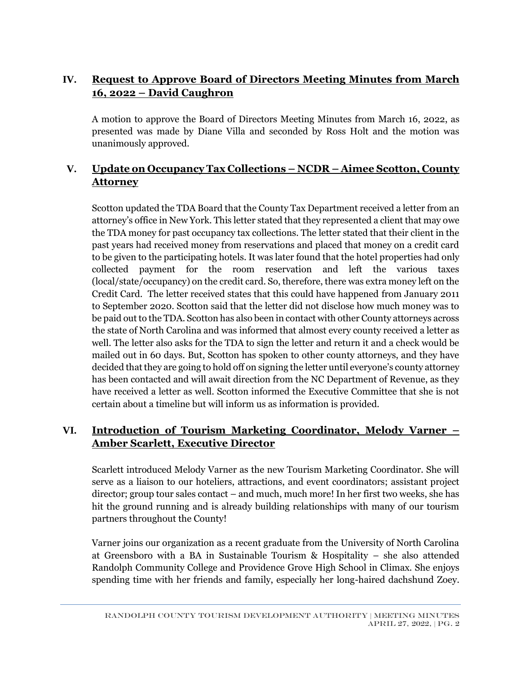# **IV. Request to Approve Board of Directors Meeting Minutes from March 16, 2022 – David Caughron**

A motion to approve the Board of Directors Meeting Minutes from March 16, 2022, as presented was made by Diane Villa and seconded by Ross Holt and the motion was unanimously approved.

# **V. Update on Occupancy Tax Collections – NCDR – Aimee Scotton, County Attorney**

Scotton updated the TDA Board that the County Tax Department received a letter from an attorney's office in New York. This letter stated that they represented a client that may owe the TDA money for past occupancy tax collections. The letter stated that their client in the past years had received money from reservations and placed that money on a credit card to be given to the participating hotels. It was later found that the hotel properties had only collected payment for the room reservation and left the various taxes (local/state/occupancy) on the credit card. So, therefore, there was extra money left on the Credit Card. The letter received states that this could have happened from January 2011 to September 2020. Scotton said that the letter did not disclose how much money was to be paid out to the TDA. Scotton has also been in contact with other County attorneys across the state of North Carolina and was informed that almost every county received a letter as well. The letter also asks for the TDA to sign the letter and return it and a check would be mailed out in 60 days. But, Scotton has spoken to other county attorneys, and they have decided that they are going to hold off on signing the letter until everyone's county attorney has been contacted and will await direction from the NC Department of Revenue, as they have received a letter as well. Scotton informed the Executive Committee that she is not certain about a timeline but will inform us as information is provided.

### **VI. Introduction of Tourism Marketing Coordinator, Melody Varner – Amber Scarlett, Executive Director**

Scarlett introduced Melody Varner as the new Tourism Marketing Coordinator. She will serve as a liaison to our hoteliers, attractions, and event coordinators; assistant project director; group tour sales contact – and much, much more! In her first two weeks, she has hit the ground running and is already building relationships with many of our tourism partners throughout the County!

Varner joins our organization as a recent graduate from the University of North Carolina at Greensboro with a BA in Sustainable Tourism & Hospitality – she also attended Randolph Community College and Providence Grove High School in Climax. She enjoys spending time with her friends and family, especially her long-haired dachshund Zoey.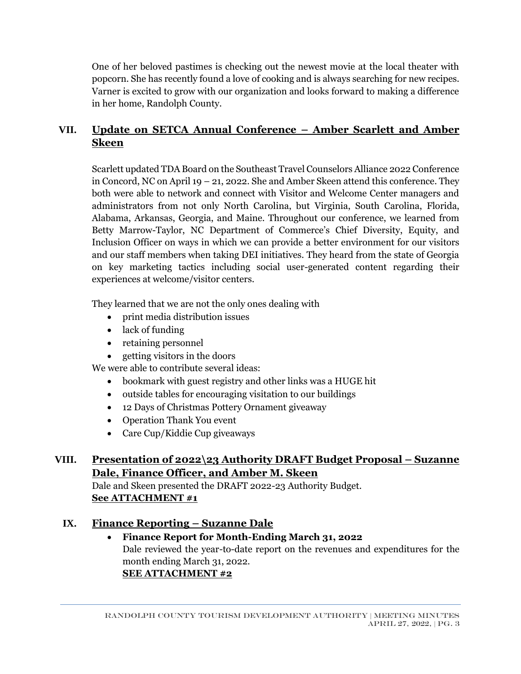One of her beloved pastimes is checking out the newest movie at the local theater with popcorn. She has recently found a love of cooking and is always searching for new recipes. Varner is excited to grow with our organization and looks forward to making a difference in her home, Randolph County.

# **VII. Update on SETCA Annual Conference – Amber Scarlett and Amber Skeen**

Scarlett updated TDA Board on the Southeast Travel Counselors Alliance 2022 Conference in Concord, NC on April 19 – 21, 2022. She and Amber Skeen attend this conference. They both were able to network and connect with Visitor and Welcome Center managers and administrators from not only North Carolina, but Virginia, South Carolina, Florida, Alabama, Arkansas, Georgia, and Maine. Throughout our conference, we learned from Betty Marrow-Taylor, NC Department of Commerce's Chief Diversity, Equity, and Inclusion Officer on ways in which we can provide a better environment for our visitors and our staff members when taking DEI initiatives. They heard from the state of Georgia on key marketing tactics including social user-generated content regarding their experiences at welcome/visitor centers.

They learned that we are not the only ones dealing with

- print media distribution issues
- lack of funding
- retaining personnel
- getting visitors in the doors

We were able to contribute several ideas:

- bookmark with guest registry and other links was a HUGE hit
- outside tables for encouraging visitation to our buildings
- 12 Days of Christmas Pottery Ornament giveaway
- Operation Thank You event
- Care Cup/Kiddie Cup giveaways

# **VIII. Presentation of 2022\23 Authority DRAFT Budget Proposal – Suzanne Dale, Finance Officer, and Amber M. Skeen**

Dale and Skeen presented the DRAFT 2022-23 Authority Budget. **See ATTACHMENT #1**

### **IX. Finance Reporting – Suzanne Dale**

# • **Finance Report for Month-Ending March 31, 2022**

Dale reviewed the year-to-date report on the revenues and expenditures for the month ending March 31, 2022. **SEE ATTACHMENT #2**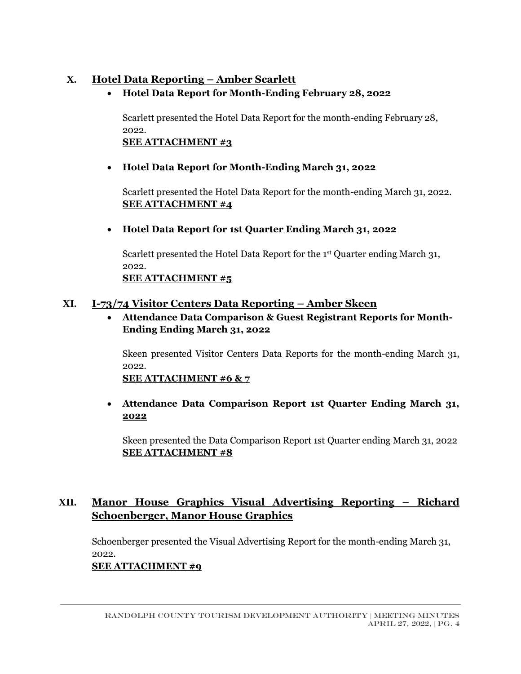### **X. Hotel Data Reporting – Amber Scarlett**

• **Hotel Data Report for Month-Ending February 28, 2022**

Scarlett presented the Hotel Data Report for the month-ending February 28, 2022. **SEE ATTACHMENT #3**

### • **Hotel Data Report for Month-Ending March 31, 2022**

Scarlett presented the Hotel Data Report for the month-ending March 31, 2022. **SEE ATTACHMENT #4**

• **Hotel Data Report for 1st Quarter Ending March 31, 2022**

Scarlett presented the Hotel Data Report for the 1<sup>st</sup> Quarter ending March 31, 2022. **SEE ATTACHMENT #5**

### **XI. I-73/74 Visitor Centers Data Reporting – Amber Skeen**

• **Attendance Data Comparison & Guest Registrant Reports for Month-Ending Ending March 31, 2022**

Skeen presented Visitor Centers Data Reports for the month-ending March 31, 2022.

**SEE ATTACHMENT #6 & 7**

• **Attendance Data Comparison Report 1st Quarter Ending March 31, 2022**

Skeen presented the Data Comparison Report 1st Quarter ending March 31, 2022 **SEE ATTACHMENT #8**

# **XII. Manor House Graphics Visual Advertising Reporting – Richard Schoenberger, Manor House Graphics**

Schoenberger presented the Visual Advertising Report for the month-ending March 31, 2022.

### **SEE ATTACHMENT #9**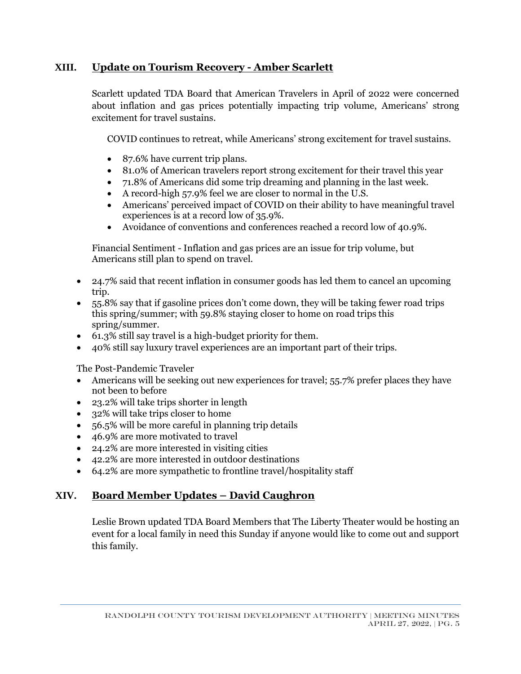### **XIII. Update on Tourism Recovery - Amber Scarlett**

Scarlett updated TDA Board that American Travelers in April of 2022 were concerned about inflation and gas prices potentially impacting trip volume, Americans' strong excitement for travel sustains.

COVID continues to retreat, while Americans' strong excitement for travel sustains.

- 87.6% have current trip plans.
- 81.0% of American travelers report strong excitement for their travel this year
- 71.8% of Americans did some trip dreaming and planning in the last week.
- A record-high 57.9% feel we are closer to normal in the U.S.
- Americans' perceived impact of COVID on their ability to have meaningful travel experiences is at a record low of 35.9%.
- Avoidance of conventions and conferences reached a record low of 40.9%.

Financial Sentiment - Inflation and gas prices are an issue for trip volume, but Americans still plan to spend on travel.

- 24.7% said that recent inflation in consumer goods has led them to cancel an upcoming trip.
- 55.8% say that if gasoline prices don't come down, they will be taking fewer road trips this spring/summer; with 59.8% staying closer to home on road trips this spring/summer.
- 61.3% still say travel is a high-budget priority for them.
- 40% still say luxury travel experiences are an important part of their trips.

The Post-Pandemic Traveler

- Americans will be seeking out new experiences for travel; 55.7% prefer places they have not been to before
- 23.2% will take trips shorter in length
- 32% will take trips closer to home
- 56.5% will be more careful in planning trip details
- 46.9% are more motivated to travel
- 24.2% are more interested in visiting cities
- 42.2% are more interested in outdoor destinations
- 64.2% are more sympathetic to frontline travel/hospitality staff

# **XIV. Board Member Updates – David Caughron**

Leslie Brown updated TDA Board Members that The Liberty Theater would be hosting an event for a local family in need this Sunday if anyone would like to come out and support this family.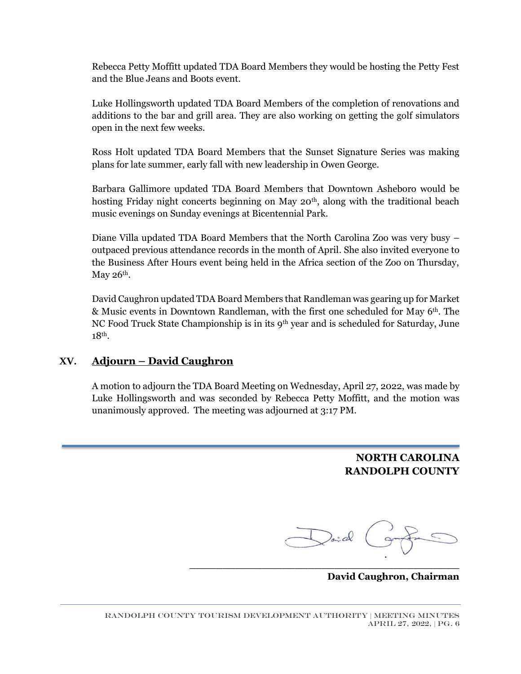Rebecca Petty Moffitt updated TDA Board Members they would be hosting the Petty Fest and the Blue Jeans and Boots event.

Luke Hollingsworth updated TDA Board Members of the completion of renovations and additions to the bar and grill area. They are also working on getting the golf simulators open in the next few weeks.

Ross Holt updated TDA Board Members that the Sunset Signature Series was making plans for late summer, early fall with new leadership in Owen George.

Barbara Gallimore updated TDA Board Members that Downtown Asheboro would be hosting Friday night concerts beginning on May 20<sup>th</sup>, along with the traditional beach music evenings on Sunday evenings at Bicentennial Park.

Diane Villa updated TDA Board Members that the North Carolina Zoo was very busy – outpaced previous attendance records in the month of April. She also invited everyone to the Business After Hours event being held in the Africa section of the Zoo on Thursday, May  $26<sup>th</sup>$ .

David Caughron updated TDA Board Members that Randleman was gearing up for Market & Music events in Downtown Randleman, with the first one scheduled for May 6th. The NC Food Truck State Championship is in its 9<sup>th</sup> year and is scheduled for Saturday, June 18th.

#### **XV. Adjourn – David Caughron**

A motion to adjourn the TDA Board Meeting on Wednesday, April 27, 2022, was made by Luke Hollingsworth and was seconded by Rebecca Petty Moffitt, and the motion was unanimously approved. The meeting was adjourned at 3:17 PM.

> **NORTH CAROLINA RANDOLPH COUNTY**

an al

**\_\_\_\_\_\_\_\_\_\_\_\_\_\_\_\_\_\_\_\_\_\_\_\_\_\_\_\_\_\_\_\_\_\_\_\_\_\_\_\_\_**

**David Caughron, Chairman**